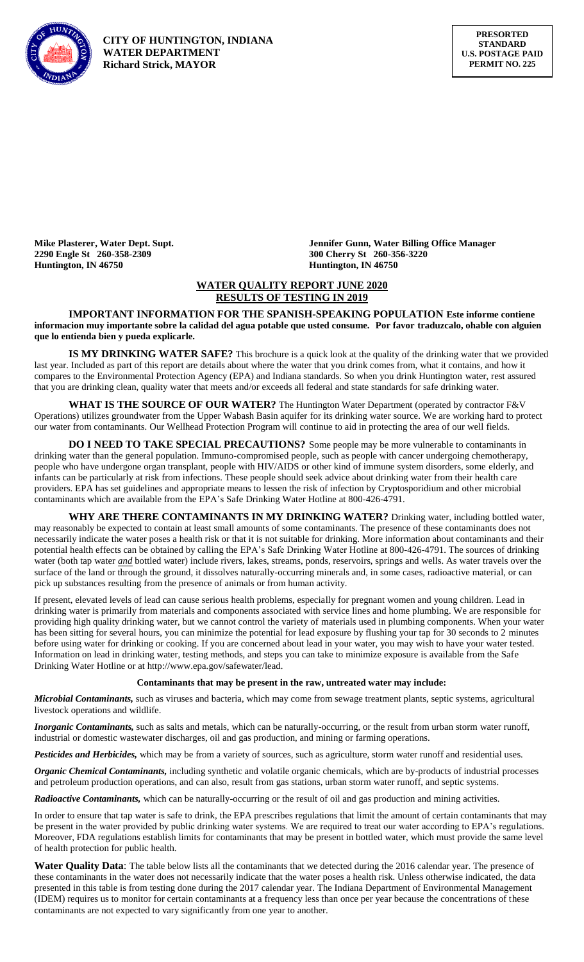

**2290 Engle St 260-358-2309 300 Cherry St 260-356-3220 Huntington, IN 46750 Huntington, IN 46750**

**Mike Plasterer, Water Dept. Supt. Jennifer Gunn, Water Billing Office Manager**

# **WATER QUALITY REPORT JUNE 2020 RESULTS OF TESTING IN 2019**

**IMPORTANT INFORMATION FOR THE SPANISH-SPEAKING POPULATION Este informe contiene informacion muy importante sobre la calidad del agua potable que usted consume. Por favor traduzcalo, ohable con alguien que lo entienda bien y pueda explicarle.**

**IS MY DRINKING WATER SAFE?** This brochure is a quick look at the quality of the drinking water that we provided last year. Included as part of this report are details about where the water that you drink comes from, what it contains, and how it compares to the Environmental Protection Agency (EPA) and Indiana standards. So when you drink Huntington water, rest assured that you are drinking clean, quality water that meets and/or exceeds all federal and state standards for safe drinking water.

**WHAT IS THE SOURCE OF OUR WATER?** The Huntington Water Department (operated by contractor F&V Operations) utilizes groundwater from the Upper Wabash Basin aquifer for its drinking water source. We are working hard to protect our water from contaminants. Our Wellhead Protection Program will continue to aid in protecting the area of our well fields.

**DO I NEED TO TAKE SPECIAL PRECAUTIONS?** Some people may be more vulnerable to contaminants in drinking water than the general population. Immuno-compromised people, such as people with cancer undergoing chemotherapy, people who have undergone organ transplant, people with HIV/AIDS or other kind of immune system disorders, some elderly, and infants can be particularly at risk from infections. These people should seek advice about drinking water from their health care providers. EPA has set guidelines and appropriate means to lessen the risk of infection by Cryptosporidium and other microbial contaminants which are available from the EPA's Safe Drinking Water Hotline at 800-426-4791.

**WHY ARE THERE CONTAMINANTS IN MY DRINKING WATER?** Drinking water, including bottled water, may reasonably be expected to contain at least small amounts of some contaminants. The presence of these contaminants does not necessarily indicate the water poses a health risk or that it is not suitable for drinking. More information about contaminants and their potential health effects can be obtained by calling the EPA's Safe Drinking Water Hotline at 800-426-4791. The sources of drinking water (both tap water *and* bottled water) include rivers, lakes, streams, ponds, reservoirs, springs and wells. As water travels over the surface of the land or through the ground, it dissolves naturally-occurring minerals and, in some cases, radioactive material, or can pick up substances resulting from the presence of animals or from human activity.

If present, elevated levels of lead can cause serious health problems, especially for pregnant women and young children. Lead in drinking water is primarily from materials and components associated with service lines and home plumbing. We are responsible for providing high quality drinking water, but we cannot control the variety of materials used in plumbing components. When your water has been sitting for several hours, you can minimize the potential for lead exposure by flushing your tap for 30 seconds to 2 minutes before using water for drinking or cooking. If you are concerned about lead in your water, you may wish to have your water tested. Information on lead in drinking water, testing methods, and steps you can take to minimize exposure is available from the Safe Drinking Water Hotline or at http://www.epa.gov/safewater/lead.

## **Contaminants that may be present in the raw, untreated water may include:**

*Microbial Contaminants,* such as viruses and bacteria, which may come from sewage treatment plants, septic systems, agricultural livestock operations and wildlife.

*Inorganic Contaminants,* such as salts and metals, which can be naturally-occurring, or the result from urban storm water runoff, industrial or domestic wastewater discharges, oil and gas production, and mining or farming operations.

*Pesticides and Herbicides,* which may be from a variety of sources, such as agriculture, storm water runoff and residential uses.

*Organic Chemical Contaminants,* including synthetic and volatile organic chemicals, which are by-products of industrial processes and petroleum production operations, and can also, result from gas stations, urban storm water runoff, and septic systems.

*Radioactive Contaminants,* which can be naturally-occurring or the result of oil and gas production and mining activities.

In order to ensure that tap water is safe to drink, the EPA prescribes regulations that limit the amount of certain contaminants that may be present in the water provided by public drinking water systems. We are required to treat our water according to EPA's regulations. Moreover, FDA regulations establish limits for contaminants that may be present in bottled water, which must provide the same level of health protection for public health.

Water Quality Data: The table below lists all the contaminants that we detected during the 2016 calendar year. The presence of these contaminants in the water does not necessarily indicate that the water poses a health risk. Unless otherwise indicated, the data presented in this table is from testing done during the 2017 calendar year. The Indiana Department of Environmental Management (IDEM) requires us to monitor for certain contaminants at a frequency less than once per year because the concentrations of these contaminants are not expected to vary significantly from one year to another.